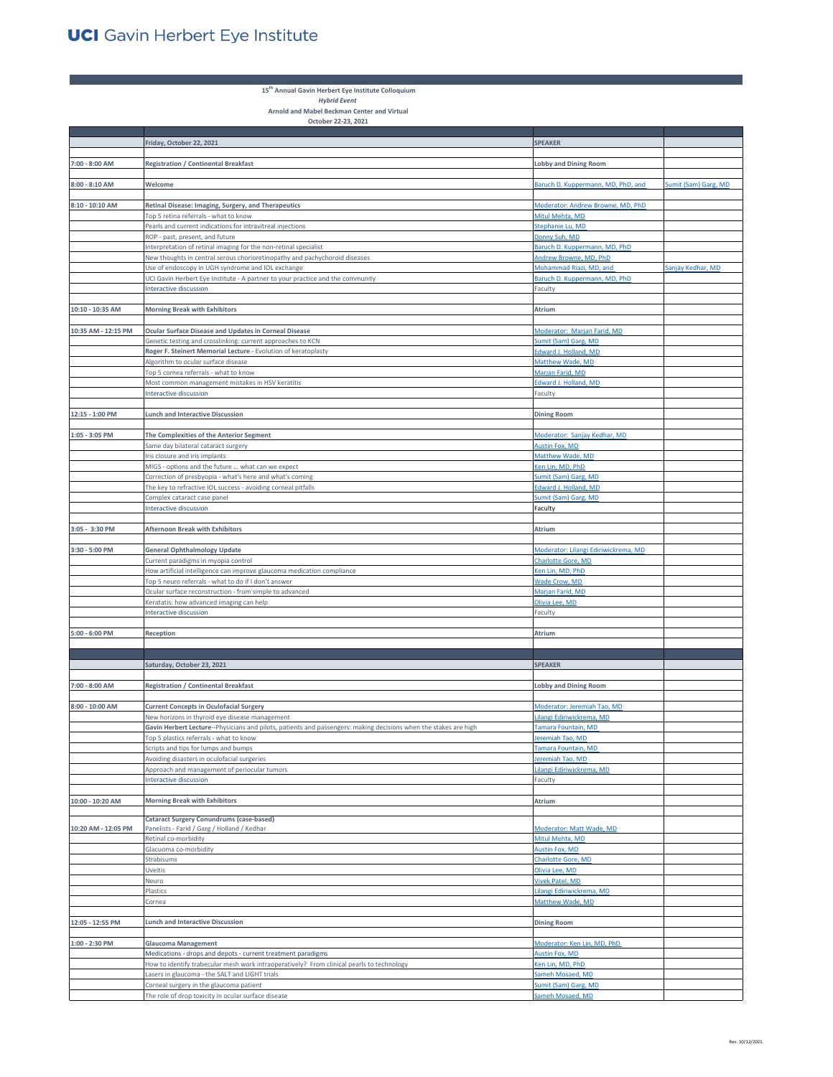**Tara** 

**15th Annual Gavin Herbert Eye Institute Colloquium**  *Hybrid Event* 

**Arnold and Mabel Beckman Center and Virtual October 22-23, 2021**

|                     | Friday, October 22, 2021                                                                                         | <b>SPEAKER</b>                         |                             |
|---------------------|------------------------------------------------------------------------------------------------------------------|----------------------------------------|-----------------------------|
|                     |                                                                                                                  |                                        |                             |
| 7:00 - 8:00 AM      | <b>Registration / Continental Breakfast</b>                                                                      | <b>Lobby and Dining Room</b>           |                             |
| $8:00 - 8:10$ AM    | Welcome                                                                                                          | Baruch D. Kuppermann, MD, PhD, and     | <b>Sumit (Sam) Garg, MD</b> |
| 8:10 - 10:10 AM     | Retinal Disease: Imaging, Surgery, and Therapeutics                                                              | Moderator: Andrew Browne, MD, PhD      |                             |
|                     | Top 5 retina referrals - what to know                                                                            | Mitul Mehta, MD                        |                             |
|                     | Pearls and current indications for intravitreal injections                                                       | Stephanie Lu, MD                       |                             |
|                     | ROP - past, present, and future                                                                                  | Donny Suh, MD                          |                             |
|                     | Interpretation of retinal imaging for the non-retinal specialist                                                 | Baruch D. Kuppermann, MD, PhD          |                             |
|                     | New thoughts in central serous chorioretinopathy and pachychoroid diseases                                       | Andrew Browne, MD, PhD                 |                             |
|                     | Use of endoscopy in UGH syndrome and IOL exchange                                                                | Mohammad Riazi, MD, and                | Sanjay Kedhar, MD           |
|                     | UCI Gavin Herbert Eye Institute - A partner to your practice and the community                                   | Baruch D. Kuppermann, MD, PhD          |                             |
|                     | Interactive discussion                                                                                           | Faculty                                |                             |
|                     |                                                                                                                  |                                        |                             |
| 10:10 - 10:35 AM    | <b>Morning Break with Exhibitors</b>                                                                             | Atrium                                 |                             |
|                     |                                                                                                                  |                                        |                             |
| 10:35 AM - 12:15 PM | Ocular Surface Disease and Updates in Corneal Disease                                                            | Moderator: Marjan Farid, MD            |                             |
|                     | Genetic testing and crosslinking: current approaches to KCN                                                      | Sumit (Sam) Garg, MD                   |                             |
|                     | Roger F. Steinert Memorial Lecture - Evolution of keratoplasty                                                   | Edward J. Holland, MD                  |                             |
|                     | Algorithm to ocular surface disease                                                                              | Matthew Wade, MD                       |                             |
|                     | Top 5 cornea referrals - what to know                                                                            | Marjan Farid, MD                       |                             |
|                     | Most common management mistakes in HSV keratitis                                                                 | <b>Edward J. Holland, MD</b>           |                             |
|                     | Interactive discussion                                                                                           | Faculty                                |                             |
|                     |                                                                                                                  |                                        |                             |
| 12:15 - 1:00 PM     | <b>Lunch and Interactive Discussion</b>                                                                          | <b>Dining Room</b>                     |                             |
|                     |                                                                                                                  |                                        |                             |
| 1:05 - 3:05 PM      | The Complexities of the Anterior Segment                                                                         | Moderator: Sanjay Kedhar, MD           |                             |
|                     | Same day bilateral cataract surgery                                                                              | <b>Austin Fox, MD</b>                  |                             |
|                     | Iris closure and iris implants                                                                                   | Matthew Wade, MD                       |                             |
|                     | MIGS - options and the future  what can we expect                                                                | Ken Lin, MD, PhD                       |                             |
|                     | Correction of presbyopia - what's here and what's coming                                                         | Sumit (Sam) Garg, MD                   |                             |
|                     | The key to refractive IOL success - avoiding corneal pitfalls                                                    | Edward J. Holland, MD                  |                             |
|                     | Complex cataract case panel                                                                                      | Sumit (Sam) Garg, MD                   |                             |
|                     | Interactive discussion                                                                                           | Faculty                                |                             |
|                     |                                                                                                                  |                                        |                             |
| 3:05 - 3:30 PM      | <b>Afternoon Break with Exhibitors</b>                                                                           | Atrium                                 |                             |
|                     |                                                                                                                  |                                        |                             |
| 3:30 - 5:00 PM      | <b>General Ophthalmology Update</b>                                                                              | Moderator: Lilangi Ediriwickrema, MD   |                             |
|                     | Current paradigms in myopia control                                                                              | Charlotte Gore, MD<br>Ken Lin, MD, PhD |                             |
|                     | How artificial intelligence can improve glaucoma medication compliance                                           |                                        |                             |
|                     | Top 5 neuro referrals - what to do if I don't answer                                                             | Wade Crow, MD<br>Marjan Farid, MD      |                             |
|                     | Ocular surface reconstruction - from simple to advanced                                                          | Olivia Lee, MD                         |                             |
|                     | Keratatis: how advanced imaging can help<br>Interactive discussion                                               | Faculty                                |                             |
|                     |                                                                                                                  |                                        |                             |
| 5:00 - 6:00 PM      | Reception                                                                                                        | Atrium                                 |                             |
|                     |                                                                                                                  |                                        |                             |
|                     |                                                                                                                  |                                        |                             |
|                     | Saturday, October 23, 2021                                                                                       | <b>SPEAKER</b>                         |                             |
|                     |                                                                                                                  |                                        |                             |
| 7:00 - 8:00 AM      | <b>Registration / Continental Breakfast</b>                                                                      | <b>Lobby and Dining Room</b>           |                             |
|                     |                                                                                                                  |                                        |                             |
| $8:00 - 10:00$ AM   | <b>Current Concepts in Oculofacial Surgery</b>                                                                   | Moderator: Jeremiah Tao, MD            |                             |
|                     | New horizons in thyroid eye disease management                                                                   | Lilangi Ediriwickrema, MD              |                             |
|                     | Gavin Herbert Lecture--Physicians and pilots, patients and passengers: making decisions when the stakes are high | Tamara Fountain, MD                    |                             |
|                     | Ton 5 plactics referrals - what to know                                                                          | Jeremiah Tao MD                        |                             |
|                     | Scripts and tips for lumps and bumps                                                                             | Tamara Fountain, MD                    |                             |
|                     | Avoiding disasters in oculofacial surgeries                                                                      | Jeremiah Tao, MD                       |                             |
|                     | Approach and management of periocular tumors                                                                     | Lilangi Ediriwickrema, MD              |                             |
|                     | Interactive discussion                                                                                           | Faculty                                |                             |
| 10:00 - 10:20 AM    | <b>Morning Break with Exhibitors</b>                                                                             | Atrium                                 |                             |
|                     | <b>Cataract Surgery Conundrums (case-based)</b>                                                                  |                                        |                             |
| 10:20 AM - 12:05 PM | Panelists - Farid / Garg / Holland / Kedhar                                                                      | Moderator: Matt Wade, MD               |                             |
|                     | Retinal co-morbidity                                                                                             | Mitul Mehta, MD                        |                             |
|                     | Glacuoma co-morbidity                                                                                            | Austin Fox, MD                         |                             |
|                     | Strabisums                                                                                                       | Charlotte Gore, MD                     |                             |
|                     | Uveitis                                                                                                          | Olivia Lee, MD                         |                             |
|                     | Neuro                                                                                                            | <b>Vivek Patel, MD</b>                 |                             |
|                     | Plastics                                                                                                         | Lilangi Ediriwickrema, MD              |                             |
|                     | Cornea                                                                                                           | Matthew Wade, MD                       |                             |
|                     |                                                                                                                  |                                        |                             |
| 12:05 - 12:55 PM    | <b>Lunch and Interactive Discussion</b>                                                                          | <b>Dining Room</b>                     |                             |
|                     |                                                                                                                  |                                        |                             |
| 1:00 - 2:30 PM      | <b>Glaucoma Management</b>                                                                                       | Moderator: Ken Lin, MD, PhD            |                             |
|                     | Medications - drops and depots - current treatment paradigms                                                     | Austin Fox, MD                         |                             |
|                     | How to identify trabecular mesh work intraoperatively? From clinical pearls to technology                        | Ken Lin, MD, PhD                       |                             |
|                     | Lasers in glaucoma - the SALT and LIGHT trials                                                                   | Sameh Mosaed, MD                       |                             |
|                     | Corneal surgery in the glaucoma patient                                                                          | Sumit (Sam) Garg, MD                   |                             |
|                     | The role of drop toxicity in ocular surface disease                                                              | Sameh Mosaed, MD                       |                             |